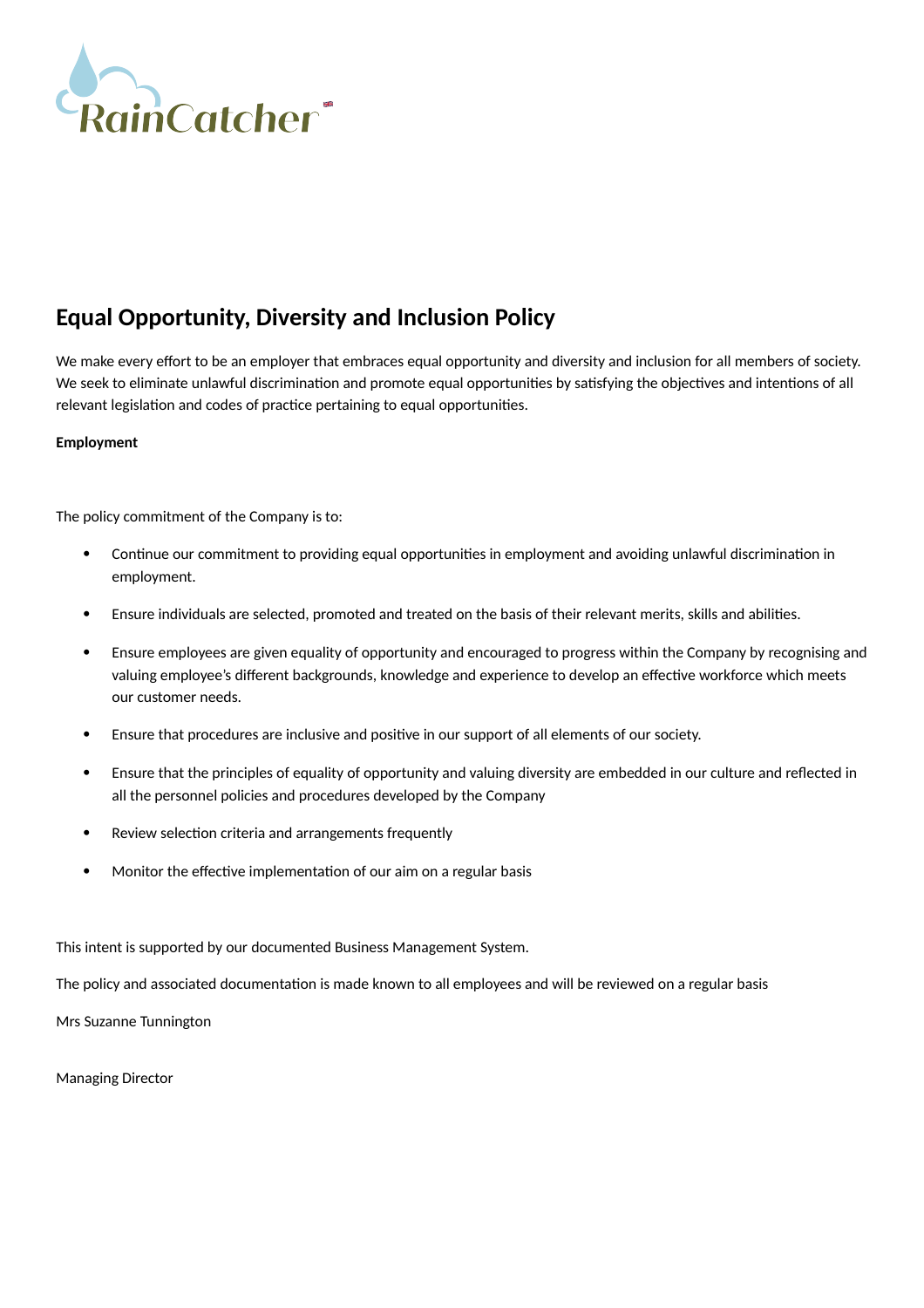

## **Equal Opportunity, Diversity and Inclusion Policy**

We make every effort to be an employer that embraces equal opportunity and diversity and inclusion for all members of society. We seek to eliminate unlawful discrimination and promote equal opportunities by satisfying the objectives and intentions of all relevant legislation and codes of practice pertaining to equal opportunities.

## **Employment**

The policy commitment of the Company is to:

- Continue our commitment to providing equal opportunities in employment and avoiding unlawful discrimination in employment.
- Ensure individuals are selected, promoted and treated on the basis of their relevant merits, skills and abilities.
- Ensure employees are given equality of opportunity and encouraged to progress within the Company by recognising and valuing employee's different backgrounds, knowledge and experience to develop an effective workforce which meets our customer needs.
- Ensure that procedures are inclusive and positive in our support of all elements of our society.
- Ensure that the principles of equality of opportunity and valuing diversity are embedded in our culture and reflected in all the personnel policies and procedures developed by the Company
- Review selection criteria and arrangements frequently
- Monitor the effective implementation of our aim on a regular basis

This intent is supported by our documented Business Management System.

The policy and associated documentation is made known to all employees and will be reviewed on a regular basis

Mrs Suzanne Tunnington

Managing Director